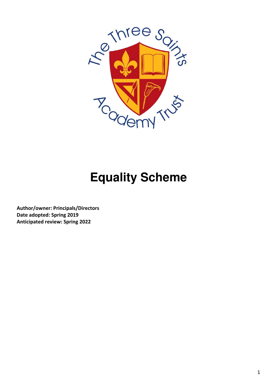

# **Equality Scheme**

Author/owner: Principals/Directors Date adopted: Spring 2019 Anticipated review: Spring 2022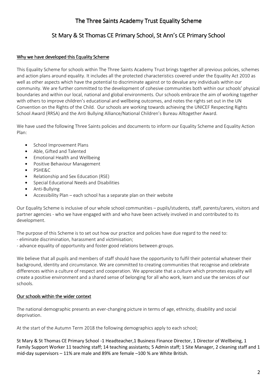# The Three Saints Academy Trust Equality Scheme

# St Mary & St Thomas CE Primary School, St Ann's CE Primary School

# Why we have developed this Equality Scheme

This Equality Scheme for schools within The Three Saints Academy Trust brings together all previous policies, schemes and action plans around equality. It includes all the protected characteristics covered under the Equality Act 2010 as well as other aspects which have the potential to discriminate against or to devalue any individuals within our community. We are further committed to the development of cohesive communities both within our schools' physical boundaries and within our local, national and global environments. Our schools embrace the aim of working together with others to improve children's educational and wellbeing outcomes, and notes the rights set out in the UN Convention on the Rights of the Child. Our schools are working towards achieving the UNICEF Respecting Rights School Award (RRSA) and the Anti Bullying Alliance/National Children's Bureau Alltogether Award.

We have used the following Three Saints policies and documents to inform our Equality Scheme and Equality Action Plan:

- School Improvement Plans
- Able, Gifted and Talented
- Emotional Health and Wellbeing
- Positive Behaviour Management
- PSHE&C
- Relationship and Sex Education (RSE)
- Special Educational Needs and Disabilities
- Anti-Bullying
- Accessibility Plan each school has a separate plan on their website

Our Equality Scheme is inclusive of our whole school communities – pupils/students, staff, parents/carers, visitors and partner agencies - who we have engaged with and who have been actively involved in and contributed to its development.

The purpose of this Scheme is to set out how our practice and policies have due regard to the need to:

- eliminate discrimination, harassment and victimisation;
- advance equality of opportunity and foster good relations between groups.

We believe that all pupils and members of staff should have the opportunity to fulfil their potential whatever their background, identity and circumstance. We are committed to creating communities that recognise and celebrate differences within a culture of respect and cooperation. We appreciate that a culture which promotes equality will create a positive environment and a shared sense of belonging for all who work, learn and use the services of our schools.

# Our schools within the wider context

The national demographic presents an ever-changing picture in terms of age, ethnicity, disability and social deprivation.

At the start of the Autumn Term 2018 the following demographics apply to each school;

St Mary & St Thomas CE Primary School -1 Headteacher,1 Business Finance Director, 1 Director of Wellbeing, 1 Family Support Worker 11 teaching staff; 14 teaching assistants; 5 Admin staff; 1 Site Manager, 2 cleaning staff and 1 mid-day supervisors – 11% are male and 89% are female –100 % are White British.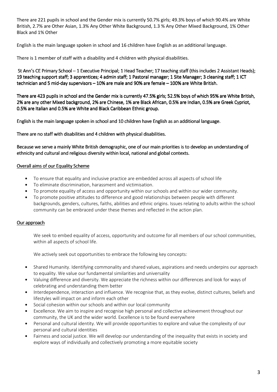There are 221 pupils in school and the Gender mix is currently 50.7% girls; 49.3% boys of which 90.4% are White British, 2.7% are Other Asian, 1.3% Any Other White Background, 1.3 % Any Other Mixed Background, 1% Other Black and 1% Other

English is the main language spoken in school and 16 children have English as an additional language.

There is 1 member of staff with a disability and 4 children with physical disabilities.

St Ann's CE Primary School – 1 Executive Principal; 1 Head Teacher; 17 teaching staff (this includes 2 Assistant Heads); 19 teaching support staff; 3 apprentices; 4 admin staff; 1 Pastoral manager; 1 Site Manager; 3 cleaning staff; 1 ICT technician and 5 mid-day supervisors  $-10%$  are male and 90% are female  $-100%$  are White British.

There are 423 pupils in school and the Gender mix is currently 47.5% girls; 52.5% boys of which 95% are White British, 2% are any other Mixed background, 2% are Chinese, 1% are Black African, 0.5% are Indian, 0.5% are Greek Cypriot, 0.5% are Italian and 0.5% are White and Black Caribbean Ethnic group.

English is the main language spoken in school and 10 children have English as an additional language.

There are no staff with disabilities and 4 children with physical disabilities.

Because we serve a mainly White British demographic, one of our main priorities is to develop an understanding of ethnicity and cultural and religious diversity within local, national and global contexts.

#### Overall aims of our Equality Scheme

- To ensure that equality and inclusive practice are embedded across all aspects of school life
- To eliminate discrimination, harassment and victimisation.
- To promote equality of access and opportunity within our schools and within our wider community.
- To promote positive attitudes to difference and good relationships between people with different backgrounds, genders, cultures, faiths, abilities and ethnic origins. Issues relating to adults within the school community can be embraced under these themes and reflected in the action plan.

# Our approach

We seek to embed equality of access, opportunity and outcome for all members of our school communities, within all aspects of school life.

We actively seek out opportunities to embrace the following key concepts:

- Shared Humanity. Identifying commonality and shared values, aspirations and needs underpins our approach to equality. We value our fundamental similarities and universality
- Valuing difference and diversity. We appreciate the richness within our differences and look for ways of celebrating and understanding them better
- Interdependence, interaction and influence. We recognise that, as they evolve, distinct cultures, beliefs and lifestyles will impact on and inform each other
- Social cohesion within our schools and within our local community
- Excellence. We aim to inspire and recognise high personal and collective achievement throughout our community, the UK and the wider world. Excellence is to be found everywhere
- Personal and cultural identity. We will provide opportunities to explore and value the complexity of our personal and cultural identities
- Fairness and social justice. We will develop our understanding of the inequality that exists in society and explore ways of individually and collectively promoting a more equitable society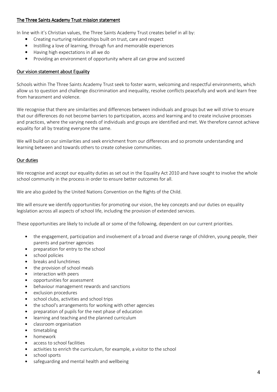#### The Three Saints Academy Trust mission statement

In line with it's Christian values, the Three Saints Academy Trust creates belief in all by:

- Creating nurturing relationships built on trust, care and respect
- Instilling a love of learning, through fun and memorable experiences
- Having high expectations in all we do
- Providing an environment of opportunity where all can grow and succeed

# Our vision statement about Equality

Schools within The Three Saints Academy Trust seek to foster warm, welcoming and respectful environments, which allow us to question and challenge discrimination and inequality, resolve conflicts peacefully and work and learn free from harassment and violence.

We recognise that there are similarities and differences between individuals and groups but we will strive to ensure that our differences do not become barriers to participation, access and learning and to create inclusive processes and practices, where the varying needs of individuals and groups are identified and met. We therefore cannot achieve equality for all by treating everyone the same.

We will build on our similarities and seek enrichment from our differences and so promote understanding and learning between and towards others to create cohesive communities.

# Our duties

We recognise and accept our equality duties as set out in the Equality Act 2010 and have sought to involve the whole school community in the process in order to ensure better outcomes for all.

We are also guided by the United Nations Convention on the Rights of the Child.

We will ensure we identify opportunities for promoting our vision, the key concepts and our duties on equality legislation across all aspects of school life, including the provision of extended services.

These opportunities are likely to include all or some of the following, dependent on our current priorities.

- the engagement, participation and involvement of a broad and diverse range of children, young people, their parents and partner agencies
- preparation for entry to the school
- school policies
- breaks and lunchtimes
- the provision of school meals
- interaction with peers
- opportunities for assessment
- behaviour management rewards and sanctions
- exclusion procedures
- school clubs, activities and school trips
- the school's arrangements for working with other agencies
- preparation of pupils for the next phase of education
- learning and teaching and the planned curriculum
- classroom organisation
- timetabling
- homework
- access to school facilities
- activities to enrich the curriculum, for example, a visitor to the school
- school sports
- safeguarding and mental health and wellbeing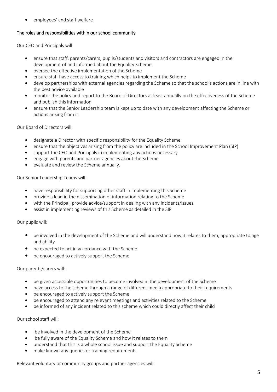employees' and staff welfare

#### The roles and responsibilities within our school community

Our CEO and Principals will:

- ensure that staff, parents/carers, pupils/students and visitors and contractors are engaged in the development of and informed about the Equality Scheme
- oversee the effective implementation of the Scheme
- ensure staff have access to training which helps to implement the Scheme
- develop partnerships with external agencies regarding the Scheme so that the school's actions are in line with the best advice available
- monitor the policy and report to the Board of Directors at least annually on the effectiveness of the Scheme and publish this information
- ensure that the Senior Leadership team is kept up to date with any development affecting the Scheme or actions arising from it

Our Board of Directors will:

- designate a Director with specific responsibility for the Equality Scheme
- ensure that the objectives arising from the policy are included in the School Improvement Plan (SIP)
- support the CEO and Principals in implementing any actions necessary
- engage with parents and partner agencies about the Scheme
- evaluate and review the Scheme annually.

Our Senior Leadership Teams will:

- have responsibility for supporting other staff in implementing this Scheme
- provide a lead in the dissemination of information relating to the Scheme
- with the Principal, provide advice/support in dealing with any incidents/issues
- assist in implementing reviews of this Scheme as detailed in the SIP

Our pupils will:

- be involved in the development of the Scheme and will understand how it relates to them, appropriate to age and ability
- be expected to act in accordance with the Scheme
- be encouraged to actively support the Scheme

Our parents/carers will:

- be given accessible opportunities to become involved in the development of the Scheme
- have access to the scheme through a range of different media appropriate to their requirements
- be encouraged to actively support the Scheme
- be encouraged to attend any relevant meetings and activities related to the Scheme
- be informed of any incident related to this scheme which could directly affect their child

Our school staff will:

- be involved in the development of the Scheme
- be fully aware of the Equality Scheme and how it relates to them
- understand that this is a whole school issue and support the Equality Scheme
- make known any queries or training requirements

Relevant voluntary or community groups and partner agencies will: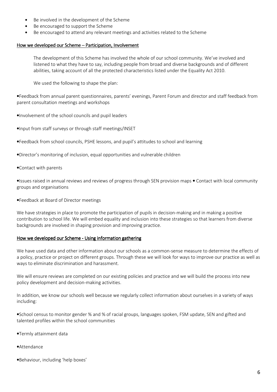- Be involved in the development of the Scheme
- Be encouraged to support the Scheme
- Be encouraged to attend any relevant meetings and activities related to the Scheme

#### How we developed our Scheme – Participation, Involvement

The development of this Scheme has involved the whole of our school community. We've involved and listened to what they have to say, including people from broad and diverse backgrounds and of different abilities, taking account of all the protected characteristics listed under the Equality Act 2010.

We used the following to shape the plan:

•Feedback from annual parent questionnaires, parents' evenings, Parent Forum and director and staff feedback from parent consultation meetings and workshops

•Involvement of the school councils and pupil leaders

•Input from staff surveys or through staff meetings/INSET

•Feedback from school councils, PSHE lessons, and pupil's attitudes to school and learning

•Director's monitoring of inclusion, equal opportunities and vulnerable children

•Contact with parents

•Issues raised in annual reviews and reviews of progress through SEN provision maps • Contact with local community groups and organisations

•Feedback at Board of Director meetings

We have strategies in place to promote the participation of pupils in decision-making and in making a positive contribution to school life. We will embed equality and inclusion into these strategies so that learners from diverse backgrounds are involved in shaping provision and improving practice.

#### How we developed our Scheme - Using information gathering

We have used data and other information about our schools as a common-sense measure to determine the effects of a policy, practice or project on different groups. Through these we will look for ways to improve our practice as well as ways to eliminate discrimination and harassment.

We will ensure reviews are completed on our existing policies and practice and we will build the process into new policy development and decision-making activities.

In addition, we know our schools well because we regularly collect information about ourselves in a variety of ways including:

•School census to monitor gender % and % of racial groups, languages spoken, FSM update, SEN and gifted and talented profiles within the school communities

- •Termly attainment data
- •Attendance
- •Behaviour, including 'help boxes'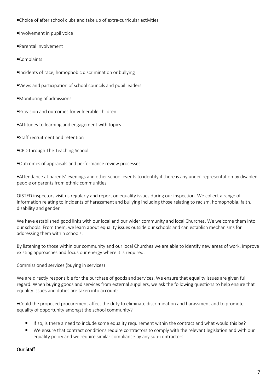•Choice of after school clubs and take up of extra-curricular activities

•Involvement in pupil voice

•Parental involvement

•Complaints

•Incidents of race, homophobic discrimination or bullying

•Views and participation of school councils and pupil leaders

•Monitoring of admissions

•Provision and outcomes for vulnerable children

•Attitudes to learning and engagement with topics

•Staff recruitment and retention

•CPD through The Teaching School

•Outcomes of appraisals and performance review processes

•Attendance at parents' evenings and other school events to identify if there is any under-representation by disabled people or parents from ethnic communities

OfSTED inspectors visit us regularly and report on equality issues during our inspection. We collect a range of information relating to incidents of harassment and bullying including those relating to racism, homophobia, faith, disability and gender.

We have established good links with our local and our wider community and local Churches. We welcome them into our schools. From them, we learn about equality issues outside our schools and can establish mechanisms for addressing them within schools.

By listening to those within our community and our local Churches we are able to identify new areas of work, improve existing approaches and focus our energy where it is required.

Commissioned services (buying in services)

We are directly responsible for the purchase of goods and services. We ensure that equality issues are given full regard. When buying goods and services from external suppliers, we ask the following questions to help ensure that equality issues and duties are taken into account:

•Could the proposed procurement affect the duty to eliminate discrimination and harassment and to promote equality of opportunity amongst the school community?

- If so, is there a need to include some equality requirement within the contract and what would this be?
- We ensure that contract conditions require contractors to comply with the relevant legislation and with our equality policy and we require similar compliance by any sub-contractors.

Our Staff